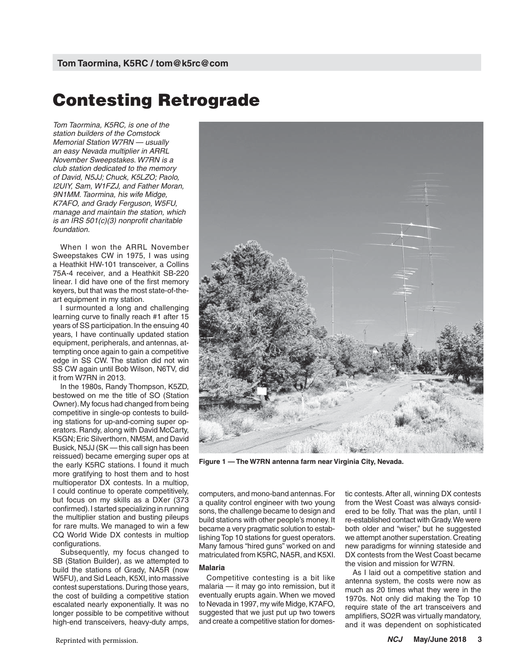# **Contesting Retrograde**

*Tom Taormina, K5RC, is one of the station builders of the Comstock Memorial Station W7RN — usually an easy Nevada multiplier in ARRL November Sweepstakes. W7RN is a club station dedicated to the memory of David, N5JJ; Chuck, K5LZO; Paolo, I2UIY, Sam, W1FZJ, and Father Moran, 9N1MM. Taormina, his wife Midge, K7AFO, and Grady Ferguson, W5FU, manage and maintain the station, which is an IRS 501(c)(3) nonprofit charitable foundation.*

When I won the ARRL November Sweepstakes CW in 1975, I was using a Heathkit HW-101 transceiver, a Collins 75A-4 receiver, and a Heathkit SB-220 linear. I did have one of the first memory keyers, but that was the most state-of-theart equipment in my station.

I surmounted a long and challenging learning curve to finally reach #1 after 15 years of SS participation. In the ensuing 40 years, I have continually updated station equipment, peripherals, and antennas, attempting once again to gain a competitive edge in SS CW. The station did not win SS CW again until Bob Wilson, N6TV, did it from W7RN in 2013.

In the 1980s, Randy Thompson, K5ZD, bestowed on me the title of SO (Station Owner). My focus had changed from being competitive in single-op contests to building stations for up-and-coming super operators. Randy, along with David McCarty, K5GN; Eric Silverthorn, NM5M, and David Busick, N5JJ (SK — this call sign has been reissued) became emerging super ops at the early K5RC stations. I found it much more gratifying to host them and to host multioperator DX contests. In a multiop, I could continue to operate competitively, but focus on my skills as a DXer (373 confirmed). I started specializing in running the multiplier station and busting pileups for rare mults. We managed to win a few CQ World Wide DX contests in multiop configurations.

Subsequently, my focus changed to SB (Station Builder), as we attempted to build the stations of Grady, NA5R (now W5FU), and Sid Leach, K5XI, into massive contest superstations. During those years, the cost of building a competitive station escalated nearly exponentially. It was no longer possible to be competitive without high-end transceivers, heavy-duty amps,



**Figure 1 — The W7RN antenna farm near Virginia City, Nevada.**

computers, and mono-band antennas. For a quality control engineer with two young sons, the challenge became to design and build stations with other people's money. It became a very pragmatic solution to establishing Top 10 stations for guest operators. Many famous "hired guns" worked on and matriculated from K5RC, NA5R, and K5XI.

### **Malaria**

Competitive contesting is a bit like malaria — it may go into remission, but it eventually erupts again. When we moved to Nevada in 1997, my wife Midge, K7AFO, suggested that we just put up two towers and create a competitive station for domestic contests. After all, winning DX contests from the West Coast was always considered to be folly. That was the plan, until I re-established contact with Grady. We were both older and "wiser," but he suggested we attempt another superstation. Creating new paradigms for winning stateside and DX contests from the West Coast became the vision and mission for W7RN.

As I laid out a competitive station and antenna system, the costs were now as much as 20 times what they were in the 1970s. Not only did making the Top 10 require state of the art transceivers and amplifiers, SO2R was virtually mandatory, and it was dependent on sophisticated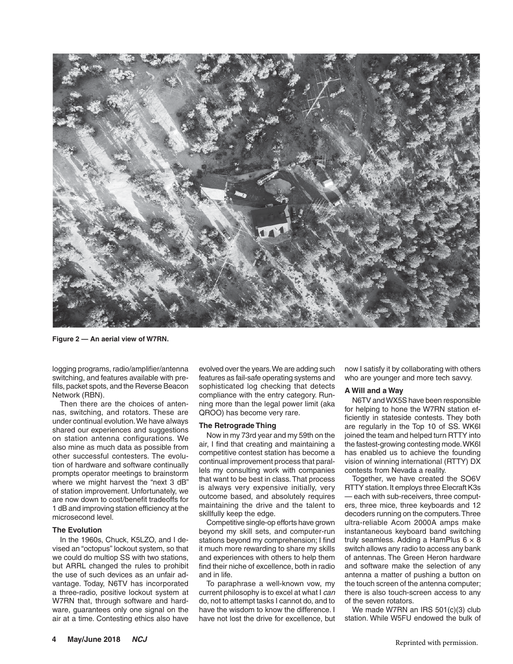

**Figure 2 — An aerial view of W7RN.**

logging programs, radio/amplifier/antenna switching, and features available with prefills, packet spots, and the Reverse Beacon Network (RBN).

Then there are the choices of antennas, switching, and rotators. These are under continual evolution. We have always shared our experiences and suggestions on station antenna configurations. We also mine as much data as possible from other successful contesters. The evolution of hardware and software continually prompts operator meetings to brainstorm where we might harvest the "next 3 dB" of station improvement. Unfortunately, we are now down to cost/benefit tradeoffs for 1 dB and improving station efficiency at the microsecond level.

## **The Evolution**

In the 1960s, Chuck, K5LZO, and I devised an "octopus" lockout system, so that we could do multiop SS with two stations, but ARRL changed the rules to prohibit the use of such devices as an unfair advantage. Today, N6TV has incorporated a three-radio, positive lockout system at W7RN that, through software and hardware, guarantees only one signal on the air at a time. Contesting ethics also have

evolved over the years. We are adding such features as fail-safe operating systems and sophisticated log checking that detects compliance with the entry category. Running more than the legal power limit (aka QROO) has become very rare.

### **The Retrograde Thing**

Now in my 73rd year and my 59th on the air, I find that creating and maintaining a competitive contest station has become a continual improvement process that parallels my consulting work with companies that want to be best in class. That process is always very expensive initially, very outcome based, and absolutely requires maintaining the drive and the talent to skillfully keep the edge.

Competitive single-op efforts have grown beyond my skill sets, and computer-run stations beyond my comprehension; I find it much more rewarding to share my skills and experiences with others to help them find their niche of excellence, both in radio and in life.

To paraphrase a well-known vow, my current philosophy is to excel at what I *can* do, not to attempt tasks I cannot do, and to have the wisdom to know the difference. I have not lost the drive for excellence, but

now I satisfy it by collaborating with others who are younger and more tech savvy.

### **A Will and a Way**

N6TV and WX5S have been responsible for helping to hone the W7RN station efficiently in stateside contests. They both are regularly in the Top 10 of SS. WK6I joined the team and helped turn RTTY into the fastest-growing contesting mode. WK6I has enabled us to achieve the founding vision of winning international (RTTY) DX contests from Nevada a reality.

Together, we have created the SO6V RTTY station. It employs three Elecraft K3s — each with sub-receivers, three computers, three mice, three keyboards and 12 decoders running on the computers. Three ultra-reliable Acom 2000A amps make instantaneous keyboard band switching truly seamless. Adding a HamPlus  $6 \times 8$ switch allows any radio to access any bank of antennas. The Green Heron hardware and software make the selection of any antenna a matter of pushing a button on the touch screen of the antenna computer; there is also touch-screen access to any of the seven rotators.

We made W7RN an IRS 501(c)(3) club station. While W5FU endowed the bulk of